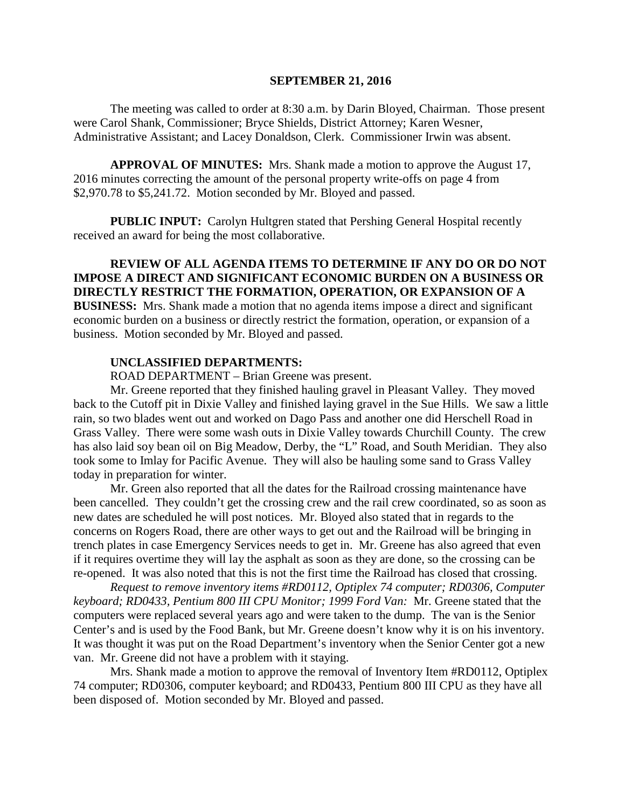#### **SEPTEMBER 21, 2016**

The meeting was called to order at 8:30 a.m. by Darin Bloyed, Chairman. Those present were Carol Shank, Commissioner; Bryce Shields, District Attorney; Karen Wesner, Administrative Assistant; and Lacey Donaldson, Clerk. Commissioner Irwin was absent.

**APPROVAL OF MINUTES:** Mrs. Shank made a motion to approve the August 17, 2016 minutes correcting the amount of the personal property write-offs on page 4 from \$2,970.78 to \$5,241.72. Motion seconded by Mr. Bloyed and passed.

**PUBLIC INPUT:** Carolyn Hultgren stated that Pershing General Hospital recently received an award for being the most collaborative.

**REVIEW OF ALL AGENDA ITEMS TO DETERMINE IF ANY DO OR DO NOT IMPOSE A DIRECT AND SIGNIFICANT ECONOMIC BURDEN ON A BUSINESS OR DIRECTLY RESTRICT THE FORMATION, OPERATION, OR EXPANSION OF A BUSINESS:** Mrs. Shank made a motion that no agenda items impose a direct and significant economic burden on a business or directly restrict the formation, operation, or expansion of a business. Motion seconded by Mr. Bloyed and passed.

#### **UNCLASSIFIED DEPARTMENTS:**

ROAD DEPARTMENT – Brian Greene was present.

Mr. Greene reported that they finished hauling gravel in Pleasant Valley. They moved back to the Cutoff pit in Dixie Valley and finished laying gravel in the Sue Hills. We saw a little rain, so two blades went out and worked on Dago Pass and another one did Herschell Road in Grass Valley. There were some wash outs in Dixie Valley towards Churchill County. The crew has also laid soy bean oil on Big Meadow, Derby, the "L" Road, and South Meridian. They also took some to Imlay for Pacific Avenue. They will also be hauling some sand to Grass Valley today in preparation for winter.

Mr. Green also reported that all the dates for the Railroad crossing maintenance have been cancelled. They couldn't get the crossing crew and the rail crew coordinated, so as soon as new dates are scheduled he will post notices. Mr. Bloyed also stated that in regards to the concerns on Rogers Road, there are other ways to get out and the Railroad will be bringing in trench plates in case Emergency Services needs to get in. Mr. Greene has also agreed that even if it requires overtime they will lay the asphalt as soon as they are done, so the crossing can be re-opened. It was also noted that this is not the first time the Railroad has closed that crossing.

*Request to remove inventory items #RD0112, Optiplex 74 computer; RD0306, Computer keyboard; RD0433, Pentium 800 III CPU Monitor; 1999 Ford Van:* Mr. Greene stated that the computers were replaced several years ago and were taken to the dump. The van is the Senior Center's and is used by the Food Bank, but Mr. Greene doesn't know why it is on his inventory. It was thought it was put on the Road Department's inventory when the Senior Center got a new van. Mr. Greene did not have a problem with it staying.

Mrs. Shank made a motion to approve the removal of Inventory Item #RD0112, Optiplex 74 computer; RD0306, computer keyboard; and RD0433, Pentium 800 III CPU as they have all been disposed of. Motion seconded by Mr. Bloyed and passed.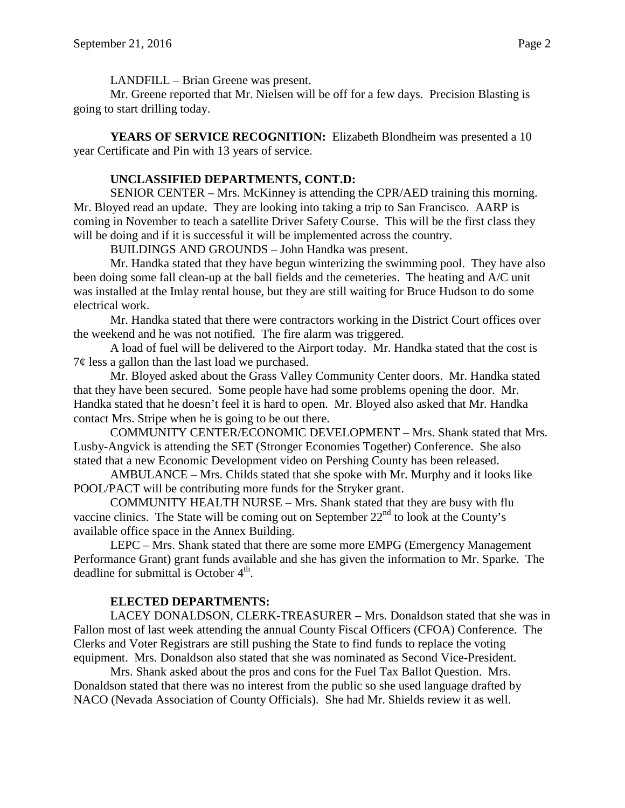LANDFILL – Brian Greene was present.

Mr. Greene reported that Mr. Nielsen will be off for a few days. Precision Blasting is going to start drilling today.

YEARS OF SERVICE RECOGNITION: Elizabeth Blondheim was presented a 10 year Certificate and Pin with 13 years of service.

# **UNCLASSIFIED DEPARTMENTS, CONT.D:**

SENIOR CENTER – Mrs. McKinney is attending the CPR/AED training this morning. Mr. Bloyed read an update. They are looking into taking a trip to San Francisco. AARP is coming in November to teach a satellite Driver Safety Course. This will be the first class they will be doing and if it is successful it will be implemented across the country.

BUILDINGS AND GROUNDS – John Handka was present.

Mr. Handka stated that they have begun winterizing the swimming pool. They have also been doing some fall clean-up at the ball fields and the cemeteries. The heating and A/C unit was installed at the Imlay rental house, but they are still waiting for Bruce Hudson to do some electrical work.

Mr. Handka stated that there were contractors working in the District Court offices over the weekend and he was not notified. The fire alarm was triggered.

A load of fuel will be delivered to the Airport today. Mr. Handka stated that the cost is  $7¢$  less a gallon than the last load we purchased.

Mr. Bloyed asked about the Grass Valley Community Center doors. Mr. Handka stated that they have been secured. Some people have had some problems opening the door. Mr. Handka stated that he doesn't feel it is hard to open. Mr. Bloyed also asked that Mr. Handka contact Mrs. Stripe when he is going to be out there.

COMMUNITY CENTER/ECONOMIC DEVELOPMENT – Mrs. Shank stated that Mrs. Lusby-Angvick is attending the SET (Stronger Economies Together) Conference. She also stated that a new Economic Development video on Pershing County has been released.

AMBULANCE – Mrs. Childs stated that she spoke with Mr. Murphy and it looks like POOL/PACT will be contributing more funds for the Stryker grant.

COMMUNITY HEALTH NURSE – Mrs. Shank stated that they are busy with flu vaccine clinics. The State will be coming out on September  $22<sup>nd</sup>$  to look at the County's available office space in the Annex Building.

LEPC – Mrs. Shank stated that there are some more EMPG (Emergency Management Performance Grant) grant funds available and she has given the information to Mr. Sparke. The deadline for submittal is October  $4<sup>th</sup>$ .

### **ELECTED DEPARTMENTS:**

LACEY DONALDSON, CLERK-TREASURER – Mrs. Donaldson stated that she was in Fallon most of last week attending the annual County Fiscal Officers (CFOA) Conference. The Clerks and Voter Registrars are still pushing the State to find funds to replace the voting equipment. Mrs. Donaldson also stated that she was nominated as Second Vice-President.

Mrs. Shank asked about the pros and cons for the Fuel Tax Ballot Question. Mrs. Donaldson stated that there was no interest from the public so she used language drafted by NACO (Nevada Association of County Officials). She had Mr. Shields review it as well.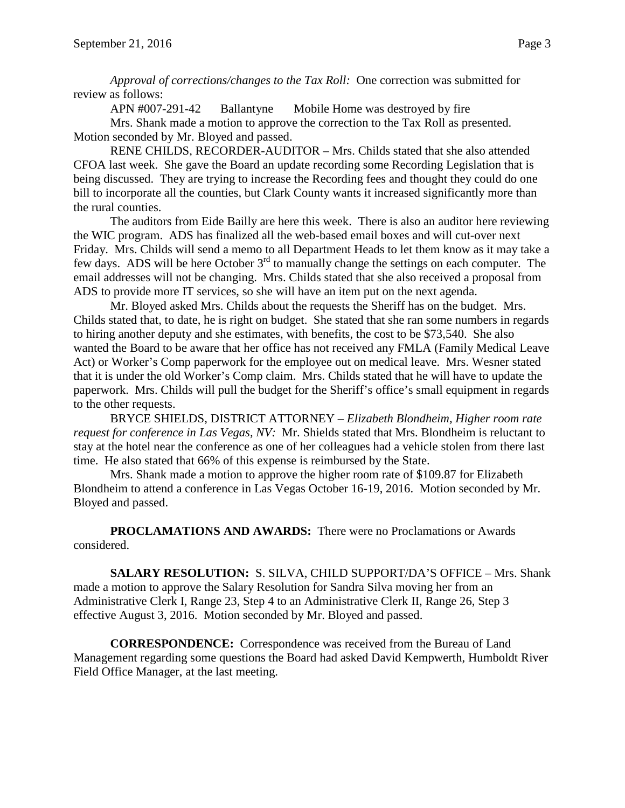*Approval of corrections/changes to the Tax Roll:* One correction was submitted for review as follows:

APN #007-291-42 Ballantyne Mobile Home was destroyed by fire

Mrs. Shank made a motion to approve the correction to the Tax Roll as presented. Motion seconded by Mr. Bloyed and passed.

RENE CHILDS, RECORDER-AUDITOR – Mrs. Childs stated that she also attended CFOA last week. She gave the Board an update recording some Recording Legislation that is being discussed. They are trying to increase the Recording fees and thought they could do one bill to incorporate all the counties, but Clark County wants it increased significantly more than the rural counties.

The auditors from Eide Bailly are here this week. There is also an auditor here reviewing the WIC program. ADS has finalized all the web-based email boxes and will cut-over next Friday. Mrs. Childs will send a memo to all Department Heads to let them know as it may take a few days. ADS will be here October  $3<sup>rd</sup>$  to manually change the settings on each computer. The email addresses will not be changing. Mrs. Childs stated that she also received a proposal from ADS to provide more IT services, so she will have an item put on the next agenda.

Mr. Bloyed asked Mrs. Childs about the requests the Sheriff has on the budget. Mrs. Childs stated that, to date, he is right on budget. She stated that she ran some numbers in regards to hiring another deputy and she estimates, with benefits, the cost to be \$73,540. She also wanted the Board to be aware that her office has not received any FMLA (Family Medical Leave Act) or Worker's Comp paperwork for the employee out on medical leave. Mrs. Wesner stated that it is under the old Worker's Comp claim. Mrs. Childs stated that he will have to update the paperwork. Mrs. Childs will pull the budget for the Sheriff's office's small equipment in regards to the other requests.

BRYCE SHIELDS, DISTRICT ATTORNEY – *Elizabeth Blondheim, Higher room rate request for conference in Las Vegas, NV:* Mr. Shields stated that Mrs. Blondheim is reluctant to stay at the hotel near the conference as one of her colleagues had a vehicle stolen from there last time. He also stated that 66% of this expense is reimbursed by the State.

Mrs. Shank made a motion to approve the higher room rate of \$109.87 for Elizabeth Blondheim to attend a conference in Las Vegas October 16-19, 2016. Motion seconded by Mr. Bloyed and passed.

**PROCLAMATIONS AND AWARDS:** There were no Proclamations or Awards considered.

**SALARY RESOLUTION:** S. SILVA, CHILD SUPPORT/DA'S OFFICE – Mrs. Shank made a motion to approve the Salary Resolution for Sandra Silva moving her from an Administrative Clerk I, Range 23, Step 4 to an Administrative Clerk II, Range 26, Step 3 effective August 3, 2016. Motion seconded by Mr. Bloyed and passed.

**CORRESPONDENCE:** Correspondence was received from the Bureau of Land Management regarding some questions the Board had asked David Kempwerth, Humboldt River Field Office Manager, at the last meeting.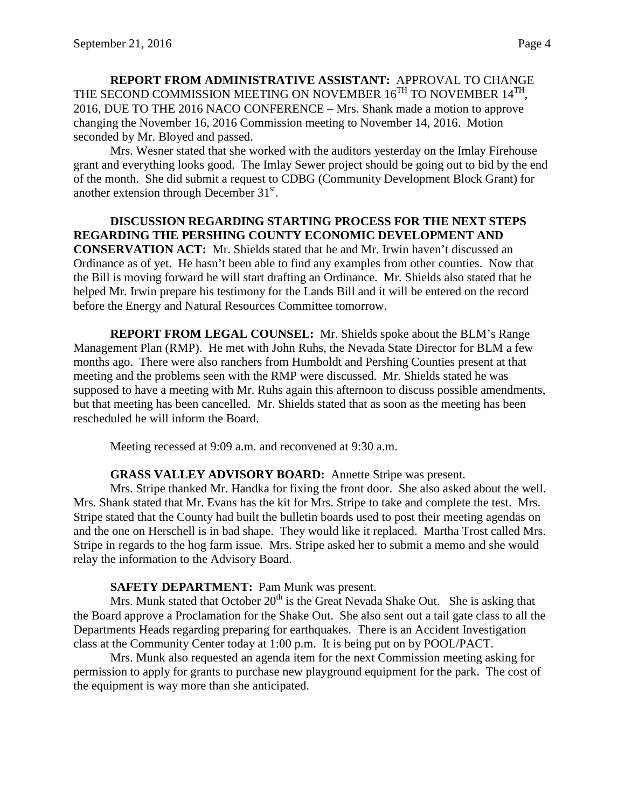**REPORT FROM ADMINISTRATIVE ASSISTANT:** APPROVAL TO CHANGE THE SECOND COMMISSION MEETING ON NOVEMBER  $16^{TH}$  TO NOVEMBER  $14^{TH}$ , 2016, DUE TO THE 2016 NACO CONFERENCE – Mrs. Shank made a motion to approve changing the November 16, 2016 Commission meeting to November 14, 2016. Motion seconded by Mr. Bloyed and passed.

Mrs. Wesner stated that she worked with the auditors yesterday on the Imlay Firehouse grant and everything looks good. The Imlay Sewer project should be going out to bid by the end of the month. She did submit a request to CDBG (Community Development Block Grant) for another extension through December 31<sup>st</sup>.

### **DISCUSSION REGARDING STARTING PROCESS FOR THE NEXT STEPS REGARDING THE PERSHING COUNTY ECONOMIC DEVELOPMENT AND CONSERVATION ACT:** Mr. Shields stated that he and Mr. Irwin haven't discussed an Ordinance as of yet. He hasn't been able to find any examples from other counties. Now that the Bill is moving forward he will start drafting an Ordinance. Mr. Shields also stated that he helped Mr. Irwin prepare his testimony for the Lands Bill and it will be entered on the record before the Energy and Natural Resources Committee tomorrow.

**REPORT FROM LEGAL COUNSEL:** Mr. Shields spoke about the BLM's Range Management Plan (RMP). He met with John Ruhs, the Nevada State Director for BLM a few months ago. There were also ranchers from Humboldt and Pershing Counties present at that meeting and the problems seen with the RMP were discussed. Mr. Shields stated he was supposed to have a meeting with Mr. Ruhs again this afternoon to discuss possible amendments, but that meeting has been cancelled. Mr. Shields stated that as soon as the meeting has been rescheduled he will inform the Board.

Meeting recessed at 9:09 a.m. and reconvened at 9:30 a.m.

### **GRASS VALLEY ADVISORY BOARD:** Annette Stripe was present.

Mrs. Stripe thanked Mr. Handka for fixing the front door. She also asked about the well. Mrs. Shank stated that Mr. Evans has the kit for Mrs. Stripe to take and complete the test. Mrs. Stripe stated that the County had built the bulletin boards used to post their meeting agendas on and the one on Herschell is in bad shape. They would like it replaced. Martha Trost called Mrs. Stripe in regards to the hog farm issue. Mrs. Stripe asked her to submit a memo and she would relay the information to the Advisory Board.

### **SAFETY DEPARTMENT:** Pam Munk was present.

Mrs. Munk stated that October  $20<sup>th</sup>$  is the Great Nevada Shake Out. She is asking that the Board approve a Proclamation for the Shake Out. She also sent out a tail gate class to all the Departments Heads regarding preparing for earthquakes. There is an Accident Investigation class at the Community Center today at 1:00 p.m. It is being put on by POOL/PACT.

Mrs. Munk also requested an agenda item for the next Commission meeting asking for permission to apply for grants to purchase new playground equipment for the park. The cost of the equipment is way more than she anticipated.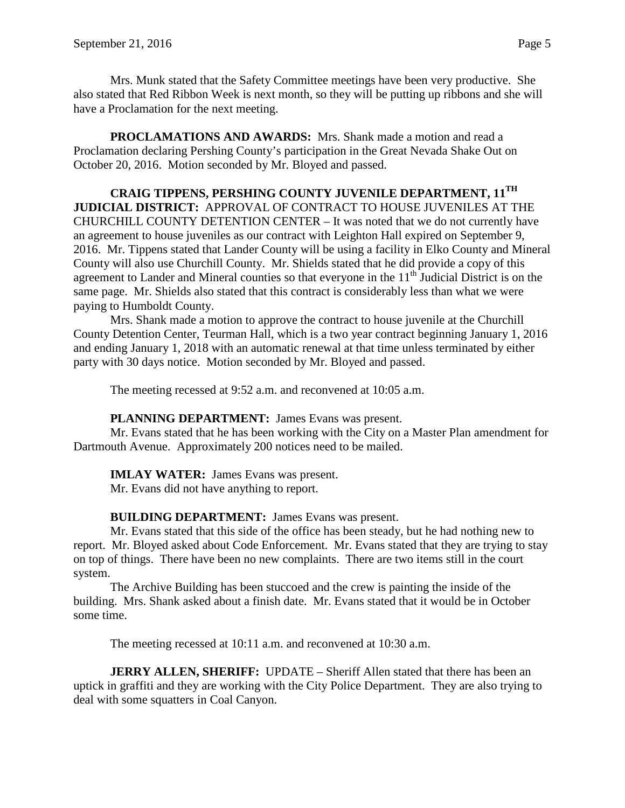Mrs. Munk stated that the Safety Committee meetings have been very productive. She also stated that Red Ribbon Week is next month, so they will be putting up ribbons and she will have a Proclamation for the next meeting.

**PROCLAMATIONS AND AWARDS:** Mrs. Shank made a motion and read a Proclamation declaring Pershing County's participation in the Great Nevada Shake Out on October 20, 2016. Motion seconded by Mr. Bloyed and passed.

**CRAIG TIPPENS, PERSHING COUNTY JUVENILE DEPARTMENT, 11TH JUDICIAL DISTRICT:** APPROVAL OF CONTRACT TO HOUSE JUVENILES AT THE CHURCHILL COUNTY DETENTION CENTER – It was noted that we do not currently have an agreement to house juveniles as our contract with Leighton Hall expired on September 9, 2016. Mr. Tippens stated that Lander County will be using a facility in Elko County and Mineral County will also use Churchill County. Mr. Shields stated that he did provide a copy of this agreement to Lander and Mineral counties so that everyone in the  $11<sup>th</sup>$  Judicial District is on the same page. Mr. Shields also stated that this contract is considerably less than what we were paying to Humboldt County.

Mrs. Shank made a motion to approve the contract to house juvenile at the Churchill County Detention Center, Teurman Hall, which is a two year contract beginning January 1, 2016 and ending January 1, 2018 with an automatic renewal at that time unless terminated by either party with 30 days notice. Motion seconded by Mr. Bloyed and passed.

The meeting recessed at 9:52 a.m. and reconvened at 10:05 a.m.

**PLANNING DEPARTMENT:** James Evans was present.

Mr. Evans stated that he has been working with the City on a Master Plan amendment for Dartmouth Avenue. Approximately 200 notices need to be mailed.

### **IMLAY WATER:** James Evans was present.

Mr. Evans did not have anything to report.

### **BUILDING DEPARTMENT:** James Evans was present.

Mr. Evans stated that this side of the office has been steady, but he had nothing new to report. Mr. Bloyed asked about Code Enforcement. Mr. Evans stated that they are trying to stay on top of things. There have been no new complaints. There are two items still in the court system.

The Archive Building has been stuccoed and the crew is painting the inside of the building. Mrs. Shank asked about a finish date. Mr. Evans stated that it would be in October some time.

The meeting recessed at 10:11 a.m. and reconvened at 10:30 a.m.

**JERRY ALLEN, SHERIFF:** UPDATE – Sheriff Allen stated that there has been an uptick in graffiti and they are working with the City Police Department. They are also trying to deal with some squatters in Coal Canyon.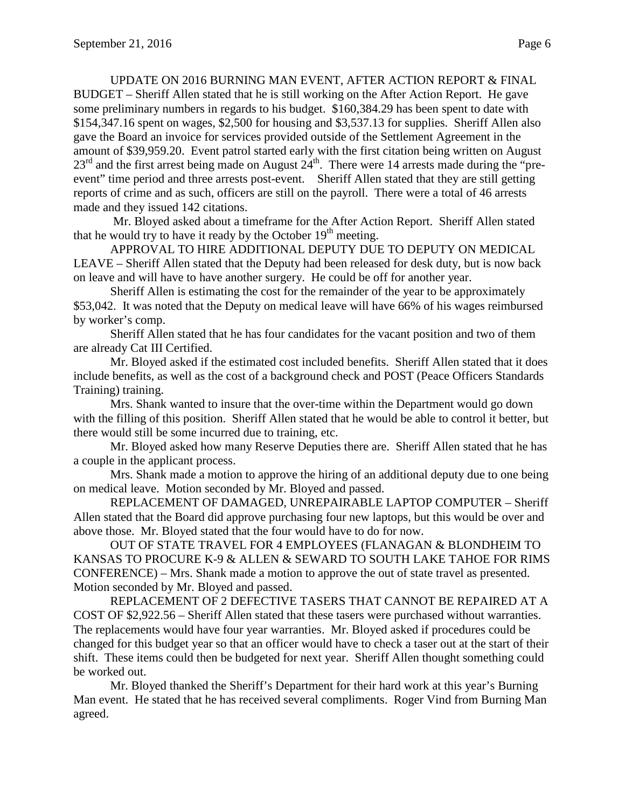UPDATE ON 2016 BURNING MAN EVENT, AFTER ACTION REPORT & FINAL BUDGET – Sheriff Allen stated that he is still working on the After Action Report. He gave some preliminary numbers in regards to his budget. \$160,384.29 has been spent to date with \$154,347.16 spent on wages, \$2,500 for housing and \$3,537.13 for supplies. Sheriff Allen also gave the Board an invoice for services provided outside of the Settlement Agreement in the amount of \$39,959.20. Event patrol started early with the first citation being written on August  $23<sup>rd</sup>$  and the first arrest being made on August  $24<sup>th</sup>$ . There were 14 arrests made during the "preevent" time period and three arrests post-event. Sheriff Allen stated that they are still getting reports of crime and as such, officers are still on the payroll. There were a total of 46 arrests made and they issued 142 citations.

Mr. Bloyed asked about a timeframe for the After Action Report. Sheriff Allen stated that he would try to have it ready by the October  $19<sup>th</sup>$  meeting.

APPROVAL TO HIRE ADDITIONAL DEPUTY DUE TO DEPUTY ON MEDICAL LEAVE – Sheriff Allen stated that the Deputy had been released for desk duty, but is now back on leave and will have to have another surgery. He could be off for another year.

Sheriff Allen is estimating the cost for the remainder of the year to be approximately \$53,042. It was noted that the Deputy on medical leave will have 66% of his wages reimbursed by worker's comp.

Sheriff Allen stated that he has four candidates for the vacant position and two of them are already Cat III Certified.

Mr. Bloyed asked if the estimated cost included benefits. Sheriff Allen stated that it does include benefits, as well as the cost of a background check and POST (Peace Officers Standards Training) training.

Mrs. Shank wanted to insure that the over-time within the Department would go down with the filling of this position. Sheriff Allen stated that he would be able to control it better, but there would still be some incurred due to training, etc.

Mr. Bloyed asked how many Reserve Deputies there are. Sheriff Allen stated that he has a couple in the applicant process.

Mrs. Shank made a motion to approve the hiring of an additional deputy due to one being on medical leave. Motion seconded by Mr. Bloyed and passed.

REPLACEMENT OF DAMAGED, UNREPAIRABLE LAPTOP COMPUTER – Sheriff Allen stated that the Board did approve purchasing four new laptops, but this would be over and above those. Mr. Bloyed stated that the four would have to do for now.

OUT OF STATE TRAVEL FOR 4 EMPLOYEES (FLANAGAN & BLONDHEIM TO KANSAS TO PROCURE K-9 & ALLEN & SEWARD TO SOUTH LAKE TAHOE FOR RIMS CONFERENCE) – Mrs. Shank made a motion to approve the out of state travel as presented. Motion seconded by Mr. Bloyed and passed.

REPLACEMENT OF 2 DEFECTIVE TASERS THAT CANNOT BE REPAIRED AT A COST OF \$2,922.56 – Sheriff Allen stated that these tasers were purchased without warranties. The replacements would have four year warranties. Mr. Bloyed asked if procedures could be changed for this budget year so that an officer would have to check a taser out at the start of their shift. These items could then be budgeted for next year. Sheriff Allen thought something could be worked out.

Mr. Bloyed thanked the Sheriff's Department for their hard work at this year's Burning Man event. He stated that he has received several compliments. Roger Vind from Burning Man agreed.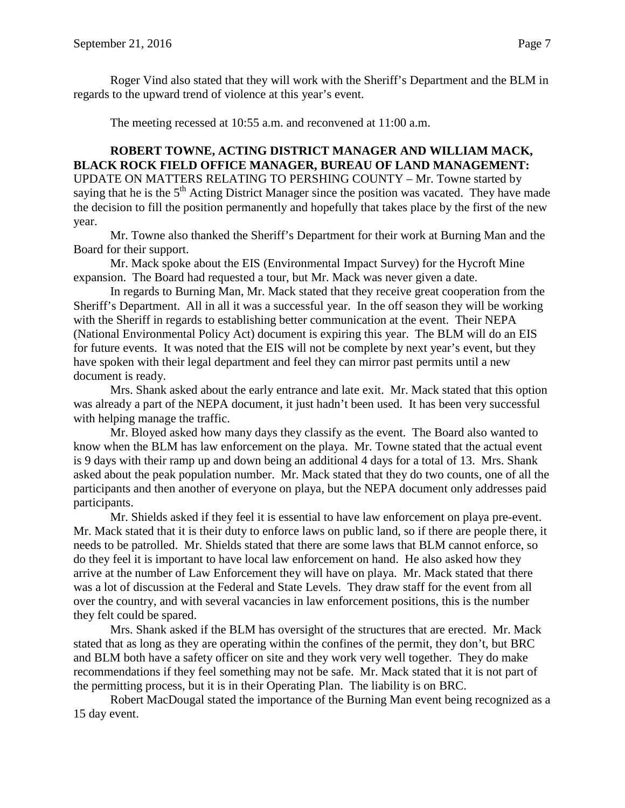Roger Vind also stated that they will work with the Sheriff's Department and the BLM in regards to the upward trend of violence at this year's event.

The meeting recessed at 10:55 a.m. and reconvened at 11:00 a.m.

**ROBERT TOWNE, ACTING DISTRICT MANAGER AND WILLIAM MACK, BLACK ROCK FIELD OFFICE MANAGER, BUREAU OF LAND MANAGEMENT:**  UPDATE ON MATTERS RELATING TO PERSHING COUNTY – Mr. Towne started by saying that he is the 5<sup>th</sup> Acting District Manager since the position was vacated. They have made the decision to fill the position permanently and hopefully that takes place by the first of the new year.

Mr. Towne also thanked the Sheriff's Department for their work at Burning Man and the Board for their support.

Mr. Mack spoke about the EIS (Environmental Impact Survey) for the Hycroft Mine expansion. The Board had requested a tour, but Mr. Mack was never given a date.

In regards to Burning Man, Mr. Mack stated that they receive great cooperation from the Sheriff's Department. All in all it was a successful year. In the off season they will be working with the Sheriff in regards to establishing better communication at the event. Their NEPA (National Environmental Policy Act) document is expiring this year. The BLM will do an EIS for future events. It was noted that the EIS will not be complete by next year's event, but they have spoken with their legal department and feel they can mirror past permits until a new document is ready.

Mrs. Shank asked about the early entrance and late exit. Mr. Mack stated that this option was already a part of the NEPA document, it just hadn't been used. It has been very successful with helping manage the traffic.

Mr. Bloyed asked how many days they classify as the event. The Board also wanted to know when the BLM has law enforcement on the playa. Mr. Towne stated that the actual event is 9 days with their ramp up and down being an additional 4 days for a total of 13. Mrs. Shank asked about the peak population number. Mr. Mack stated that they do two counts, one of all the participants and then another of everyone on playa, but the NEPA document only addresses paid participants.

Mr. Shields asked if they feel it is essential to have law enforcement on playa pre-event. Mr. Mack stated that it is their duty to enforce laws on public land, so if there are people there, it needs to be patrolled. Mr. Shields stated that there are some laws that BLM cannot enforce, so do they feel it is important to have local law enforcement on hand. He also asked how they arrive at the number of Law Enforcement they will have on playa. Mr. Mack stated that there was a lot of discussion at the Federal and State Levels. They draw staff for the event from all over the country, and with several vacancies in law enforcement positions, this is the number they felt could be spared.

Mrs. Shank asked if the BLM has oversight of the structures that are erected. Mr. Mack stated that as long as they are operating within the confines of the permit, they don't, but BRC and BLM both have a safety officer on site and they work very well together. They do make recommendations if they feel something may not be safe. Mr. Mack stated that it is not part of the permitting process, but it is in their Operating Plan. The liability is on BRC.

Robert MacDougal stated the importance of the Burning Man event being recognized as a 15 day event.